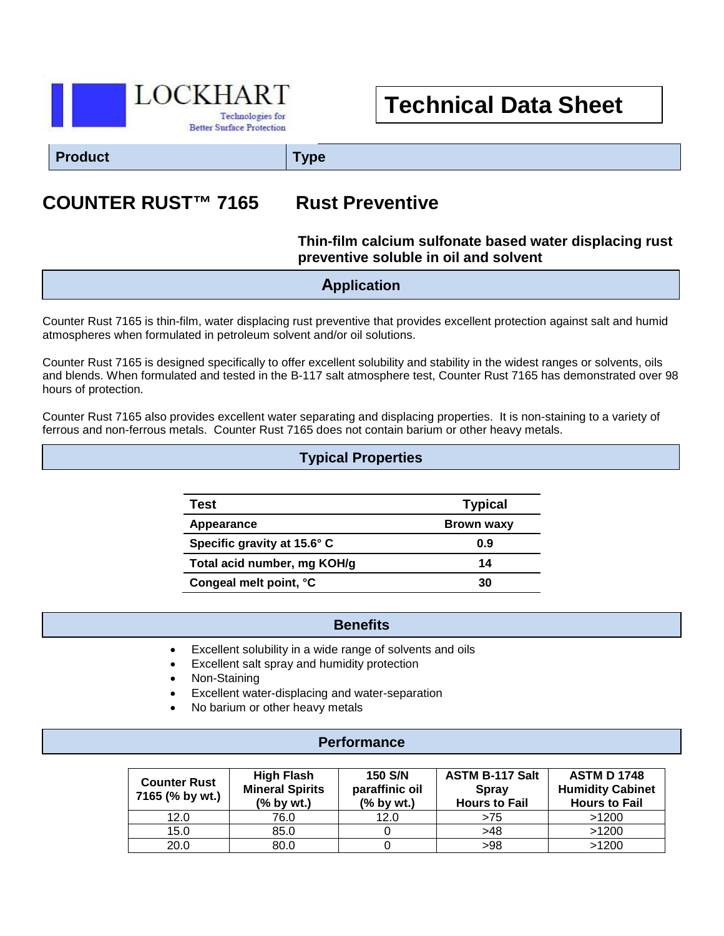

# **Technical Data Sheet**

**Product Type**

# **COUNTER RUST™ 7165 Rust Preventive**

## **Thin-film calcium sulfonate based water displacing rust preventive soluble in oil and solvent**

**Application**

Counter Rust 7165 is thin-film, water displacing rust preventive that provides excellent protection against salt and humid atmospheres when formulated in petroleum solvent and/or oil solutions.

Counter Rust 7165 is designed specifically to offer excellent solubility and stability in the widest ranges or solvents, oils and blends. When formulated and tested in the B-117 salt atmosphere test, Counter Rust 7165 has demonstrated over 98 hours of protection.

Counter Rust 7165 also provides excellent water separating and displacing properties. It is non-staining to a variety of ferrous and non-ferrous metals. Counter Rust 7165 does not contain barium or other heavy metals.

## **Typical Properties**

| Test                        | <b>Typical</b> |  |
|-----------------------------|----------------|--|
| Appearance                  | Brown waxy     |  |
| Specific gravity at 15.6° C | 0.9            |  |
| Total acid number, mg KOH/g | 14             |  |
| Congeal melt point, °C      | 30             |  |

#### **Benefits**

- Excellent solubility in a wide range of solvents and oils
- Excellent salt spray and humidity protection

 $\overline{a}$ 

- Non-Staining
- Excellent water-displacing and water-separation
- No barium or other heavy metals

#### **Performance**

| <b>Counter Rust</b><br>7165 (% by wt.) | <b>High Flash</b><br><b>Mineral Spirits</b><br>$%$ by wt.) | <b>150 S/N</b><br>paraffinic oil<br>(% by wt.) | <b>ASTM B-117 Salt</b><br><b>Spray</b><br><b>Hours to Fail</b> | <b>ASTM D 1748</b><br><b>Humidity Cabinet</b><br><b>Hours to Fail</b> |
|----------------------------------------|------------------------------------------------------------|------------------------------------------------|----------------------------------------------------------------|-----------------------------------------------------------------------|
| 12.0                                   | 76.0                                                       | 12.0                                           | >75                                                            | >1200                                                                 |
| 15.0                                   | 85.0                                                       |                                                | >48                                                            | >1200                                                                 |
| 20.0                                   | 80.0                                                       |                                                | >98                                                            | >1200                                                                 |